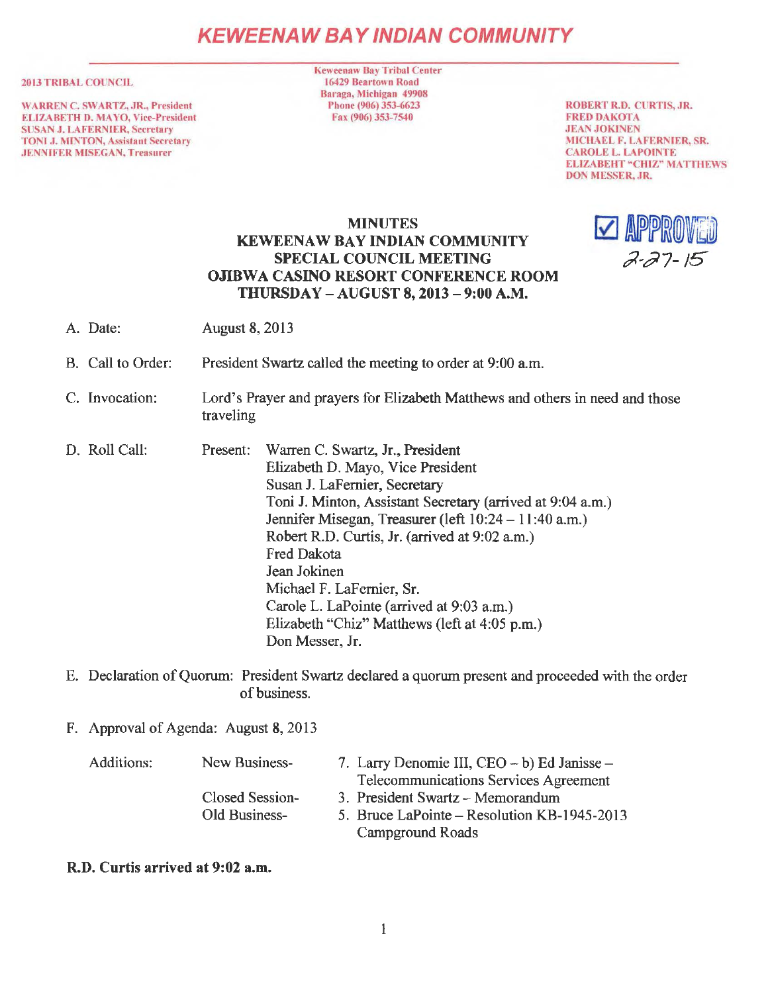# **KEWEENAW BAY IND/AN COMMUNITY**

#### 2013 TRIBAL COUNCIL

WARREN C. SWARTZ, JR., President ELIZABETH D. MA YO, Vice-President SUSAN J. LAFERNIER, Secretary TONI J. MINTON, Assistant Secretary JENNIFER MISEGAN, Treasurer

Keweenaw Bay Tribal Center 16429 Beartown Road Baraga, Michigan 49908 Phone (906) 353-6623 Fax (906) 353-7540

ROBERT R.D. CURTIS, JR. FRED DAKOTA JEAN JOKINEN MICHAEL F. LA FERNIER, SR. CAROLE L. LAPOINTE ELIZABEHT "CHIZ" MATTHEWS DON MESSER, JR.

#### **MINUTES KEWEENAW BAY INDIAN COMMUNITY SPECIAL COUNCIL MEETING OJIBWA CASINO RESORT CONFERENCE ROOM THURSDAY - AUGUST 8, 2013 - 9:00 A.M.**



- A. Date: August 8, 2013
- B. Call to Order: President Swartz called the meeting to order at 9:00 am.
- C. Invocation: Lord's Prayer and prayers for Elizabeth Matthews and others in need and those traveling
- D. Roll Call: Present: Warren C. Swartz, **Jr.,** President Elizabeth D. Mayo, Vice President Susan J. LaFernier, Secretary Toni J. Minton, Assistant Secretary (arrived at 9:04 a.m.) Jennifer Misegan, Treasurer (left 10:24 - 11 :40 a.m.) Robert R.D. Curtis, **Jr.** (arrived at 9:02 a.m.) Fred Dakota Jean Jokinen Michael F. LaFernier, Sr. Carole L. LaPointe (arrived at 9:03 a.m.) Elizabeth "Chiz" Matthews (left at 4:05 p.m.) Don Messer, Jr.
- E. Declaration of Quorum: President Swartz declared a quorum present and proceeded with the order of business.
- F. Approval of Agenda: August 8, 2013

| Additions: | New Business-   | 7. Larry Denomie III, CEO – b) Ed Janisse – |
|------------|-----------------|---------------------------------------------|
|            |                 | Telecommunications Services Agreement       |
|            | Closed Session- | 3. President Swartz - Memorandum            |
|            | Old Business-   | 5. Bruce LaPointe – Resolution KB-1945-2013 |
|            |                 | Campground Roads                            |

#### **R.D. Curtis arrived at 9:02 a.m.**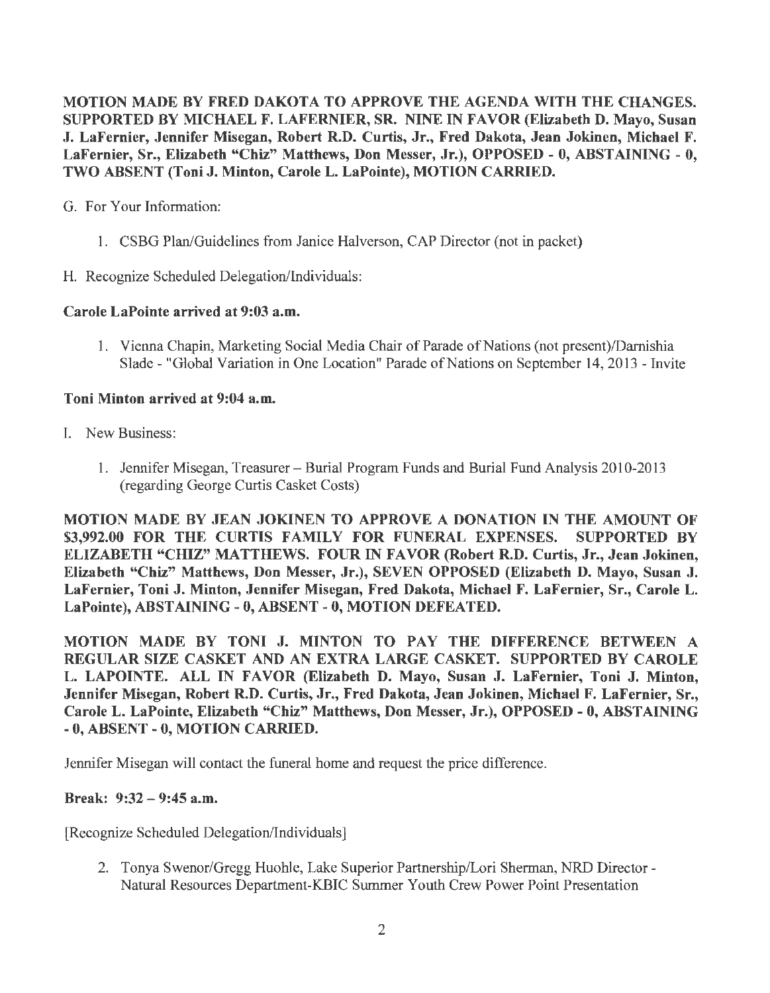MOTION MADE BY FRED DAKOTA TO APPROVE THE AGENDA WITH THE CHANGES. SUPPORTED BY MICHAEL F. LAFERNIER, SR. NINE IN FAVOR (Elizabeth D. Mayo, Susan J. LaFernier, Jennifer Misegan, Robert R.D. Curtis, Jr., Fred Dakota, Jean Jokinen, Michael F. LaFernier, Sr., Elizabeth "Chiz" Matthews, Don Messer, Jr.), OPPOSED - 0, ABSTAINING - 0, TWO ABSENT (Toni J. Minton, Carole L. LaPointe), MOTION CARRIED.

G. For Your Information:

- 1. CSBG Plan/Guidelines from Janice Halverson, CAP Director (not in packet)
- H. Recognize Scheduled Delegation/Individuals:

# Carole LaPointe arrived at 9:03 a.m.

1. Vienna Chapin, Marketing Social Media Chair of Parade of Nations (not present)/Darnishia Slade - "Global Variation in One Location" Parade of Nations on September 14, 2013 - Invite

# Toni Minton arrived at 9:04 a.m.

- I. New Business:
	- 1. Jennifer Misegan, Treasurer- Burial Program Funds and Burial Fund Analysis 2010-2013 (regarding George Curtis Casket Costs)

MOTION MADE BY JEAN JOKINEN TO APPROVE A DONATION IN THE AMOUNT OF \$3,992.00 FOR THE CURTIS FAMILY FOR FUNERAL EXPENSES. SUPPORTED BY ELIZABETH "CHIZ" MATTHEWS. FOUR IN FAVOR (Robert R.D. Curtis, Jr., Jean Jokinen, Elizabeth "Chiz" Matthews, Don Messer, Jr.), SEVEN OPPOSED (Elizabeth D. Mayo, Susan J. LaFernier, Toni J. Minton, Jennifer Misegan, Fred Dakota, Michael F. LaFernier, Sr., Carole L. LaPointe), ABSTAINING - 0, ABSENT-0, MOTION DEFEATED.

MOTION MADE BY TONI J. MINTON TO PAY THE DIFFERENCE BETWEEN A REGULAR SIZE CASKET AND AN EXTRA LARGE CASKET. SUPPORTED BY CAROLE L. LAPOINTE. ALL IN FAVOR (Elizabeth D. Mayo, Susan J. LaFernier, Toni J. Minton, Jennifer Misegan, Robert R.D. Curtis, Jr., Fred Dakota, Jean Jokinen, Michael F. LaFernier, Sr., Carole L. LaPointe, Elizabeth "Chiz" Matthews, Don Messer, Jr.), OPPOSED - O, ABSTAINING - 0, ABSENT - 0, MOTION CARRIED.

Jennifer Misegan will contact the funeral home and request the price difference.

### Break: 9:32 - 9:45 a.m.

[Recognize Scheduled Delegation/Individuals]

2. Tonya Swenor/Gregg Huohle, Lake Superior Partnership/Lori Sherman, NRD Director - Natural Resources Department-KBIC Summer Youth Crew Power Point Presentation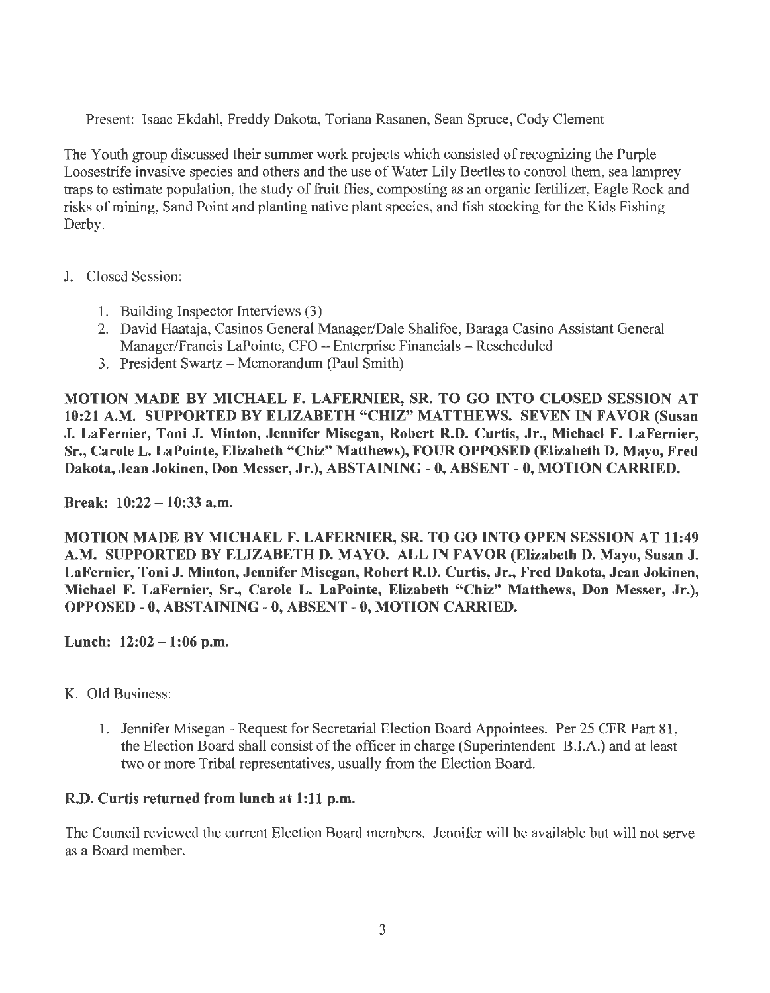Present: Isaac Ekdahl, Freddy Dakota, Toriana Rasanen, Sean Spruce, Cody Clement

The Youth group discussed their summer work projects which consisted of recognizing the Purple Loosestrife invasive species and others and the use of Water Lily Beetles to control them, sea lamprey traps to estimate population, the study of fruit flies, composting as an organic fertilizer, Eagle Rock and risks of mining, Sand Point and planting native plant species, and fish stocking for the Kids Fishing Derby.

- J. Closed Session:
	- 1. Building Inspector Interviews (3)
	- 2. David Haataja, Casinos General Manager/Dale Shalifoe, Baraga Casino Assistant General Manager/Francis LaPointe, CFO - Enterprise Financials - Rescheduled
	- 3. President Swartz-Memorandum (Paul Smith)

MOTION MADE BY MICHAEL F. LAFERNIER, SR. TO GO INTO CLOSED SESSION AT 10:21 A.M. SUPPORTED BY ELIZABETH "CHIZ" MATTHEWS. SEVEN IN FAVOR (Susan J. LaFernier, Toni J. Minton, Jennifer Misegan, Robert R.D. Curtis, Jr., Michael F. LaFernier, Sr., Carole L. LaPointe, Elizabeth "Chiz" Matthews), FOUR OPPOSED (Elizabeth D. Mayo, Fred Dakota, Jean Jokinen, Don Messer, Jr.}, ABSTAINING - 0, ABSENT - 0, MOTION CARRIED.

Break: 10:22 - 10:33 a.m.

MOTION MADE BY MICHAEL F. LAFERNIER, SR. TO GO INTO OPEN SESSION AT 11:49 A.M. SUPPORTED BY ELIZABETH D. MA YO. ALL IN FAVOR (Elizabeth D. Mayo, Susan J. LaFernier, Toni J. Minton, Jennifer Misegan, Robert R.D. Curtis, Jr., Fred Dakota, Jean Jokinen, Michael F. LaFernier, Sr., Carole L. LaPointe, Elizabeth "Chiz" Matthews, Don Messer, Jr.), OPPOSED - 0, ABSTAINING - 0, ABSENT - 0, MOTION CARRIED.

Lunch: 12:02-1:06 p.m.

- K. Old Business:
	- 1. Jennifer Misegan Request for Secretarial Election Board Appointees. Per 25 CFR Part 81, the Election Board shall consist of the officer in charge (Superintendent BJ.A.) and at least two or more Tribal representatives, usually from the Election Board.

# R.D. Curtis returned from lunch at 1:11 p.m.

The Council reviewed the current Election Board members. Jennifer will be available but will not serve as a Board member.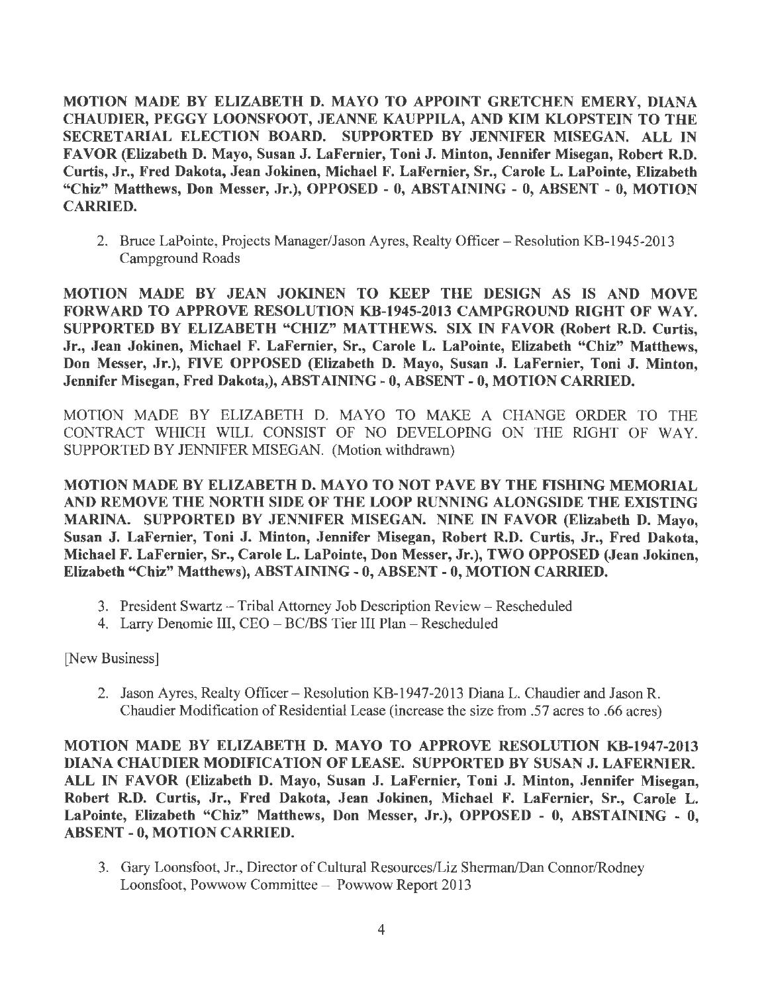MOTION MADE BY ELIZABETH D. MA YO TO APPOINT GRETCHEN EMERY, DIANA CHAUDIER, PEGGY LOONSFOOT, JEANNE KAUPPILA, AND KIM KLOPSTEIN TO THE SECRETARIAL ELECTION BOARD. SUPPORTED BY JENNIFER MISEGAN. ALL IN FAVOR (Elizabeth D. Mayo, Susan J. LaFernier, Toni J. Minton, Jennifer Misegan, Robert R.D. Curtis, Jr., Fred Dakota, Jean Jokinen, Michael F. LaFernier, Sr., Carole L. LaPointe, Elizabeth "Chiz" Matthews, Don Messer, Jr.), OPPOSED - 0, ABSTAINING - 0, ABSENT - 0, MOTION CARRIED.

2. Bruce LaPointe, Projects Manager/Jason Ayres, Realty Officer – Resolution KB-1945-2013 Campground Roads

MOTION MADE BY JEAN JOKINEN TO KEEP THE DESIGN AS IS AND MOVE FORWARD TO APPROVE RESOLUTION KB-1945-2013 CAMPGROUND RIGHT OF WAY. SUPPORTED BY ELIZABETH "CHIZ" MATTHEWS. SIX IN FAVOR (Robert R.D. Curtis, Jr., Jean Jokinen, Michael F. LaFernier, Sr., Carole L. LaPointe, Elizabeth "Chiz" Matthews, Don Messer, Jr.), FIVE OPPOSED (Elizabeth D. Mayo, Susan J. LaFernier, Toni J. Minton, Jennifer Misegan, Fred Dakota,), ABSTAINING - 0, ABSENT-0, MOTION CARRIED.

MOTION MADE BY ELIZABETH D. MA YO TO MAKE A CHANGE ORDER TO THE CONTRACT WHICH WILL CONSIST OF NO DEVELOPING ON THE RIGHT OF WAY. SUPPORTED BY JENNIFER MISEGAN. (Motion withdrawn)

MOTION MADE BY ELIZABETH D. MAYO TO NOT PAVE BY THE FISHING MEMORIAL AND REMOVE THE NORTH SIDE OF THE LOOP RUNNING ALONGSIDE THE EXISTING MARINA. SUPPORTED BY JENNIFER MISEGAN. NINE IN FAVOR (Elizabeth D. Mayo, Susan J. LaFernier, Toni J. Minton, Jennifer Misegan, Robert R.D. Curtis, Jr., Fred Dakota, Michael F. LaFernier, Sr., Carole L. LaPointe, Don Messer, Jr.), TWO OPPOSED (Jean Jokinen, Elizabeth "Chiz" Matthews), ABSTAINING- 0, ABSENT-0, MOTION CARRIED.

- 3. President Swartz Tribal Attorney Job Description Review- Rescheduled
- 4. Larry Denomie III, CEO BC/BS Tier III Plan Rescheduled

[New Business]

2. Jason Ayres, Realty Officer- Resolution KB-1947-2013 Diana L. Chaudier and Jason R. Chaudier Modification of Residential Lease (increase the size from .57 acres to .66 acres)

MOTION MADE BY ELIZABETH D. MAYO TO APPROVE RESOLUTION KB-1947-2013 DIANA CHAUDIER MODIFICATION OF LEASE. SUPPORTED BY SUSAN J. LAFERNIER. ALL IN FAVOR (Elizabeth D. Mayo, Susan J. LaFernier, Toni J. Minton, Jennifer Misegan, Robert R.D. Curtis, Jr., Fred Dakota, Jean Jokinen, Michael F. LaFernier, Sr., Carole L. LaPointe, Elizabeth "Chiz" Matthews, Don Messer, Jr.), OPPOSED - 0, ABSTAINING - 0, ABSENT - O, MOTION CARRIED.

3. Gary Loonsfoot, Jr., Director of Cultural Resources/Liz Sherman/Dan Connor/Rodney Loonsfoot, Powwow Committee- Powwow Report 2013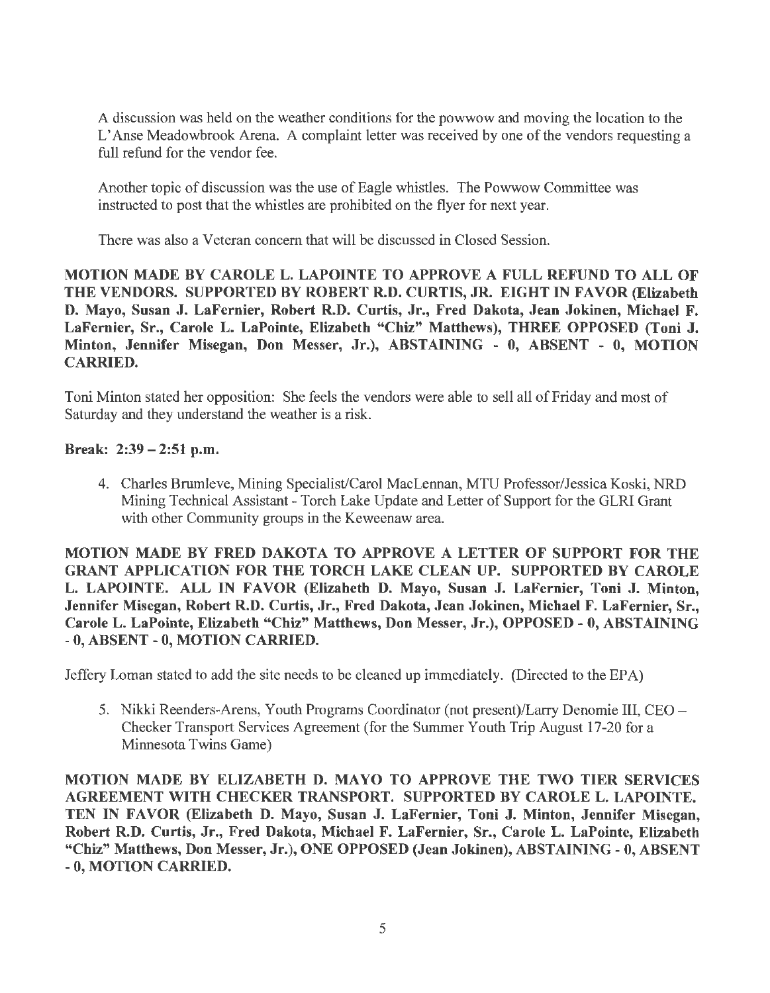A discussion was held on the weather conditions for the powwow and moving the location to the L' Anse Meadowbrook Arena. A complaint letter was received by one of the vendors requesting a full refund for the vendor fee.

Another topic of discussion was the use of Eagle whistles. The Powwow Committee was instructed to post that the whistles are prohibited on the flyer for next year.

There was also a Veteran concern that will be discussed in Closed Session.

MOTION MADE BY CAROLE L. LAPOINTE TO APPROVE A FULL REFUND TO ALL OF THE VENDORS. SUPPORTED BY ROBERT R.D. CURTIS, JR. EIGHT IN FAVOR (Elizabeth D. Mayo, Susan J. LaFernier, Robert R.D. Curtis, Jr., Fred Dakota, Jean Jokinen, Michael F. LaFernier, Sr., Carole L. LaPointe, Elizabeth "Chiz" Matthews), THREE OPPOSED (Toni J. Minton, Jennifer Misegan, Don Messer, Jr.), ABSTAINING - 0, ABSENT - 0, MOTION CARRIED.

Toni Minton stated her opposition: She feels the vendors were able to sell all of Friday and most of Saturday and they understand the weather is a risk.

#### Break: 2:39 - 2:51 p.m.

4. Charles Brumleve, Mining Specialist/Carol MacLennan, MTU Professor/Jessica Koski, NRD Mining Technical Assistant - Torch Lake Update and Letter of Support for the GLRI Grant with other Community groups in the Keweenaw area.

MOTION MADE BY FRED DAKOTA TO APPROVE A LETTER OF SUPPORT FOR THE GRANT APPLICATION FOR THE TORCH LAKE CLEAN UP. SUPPORTED BY CAROLE L. LAPOINTE. ALL IN FAVOR (Elizabeth D. Mayo, Susan J. LaFernier, Toni J. Minton, Jennifer Misegan, Robert R.D. Curtis, Jr., Fred Dakota, Jean Jokinen, Michael F. LaFernier, Sr., Carole L. LaPointe, Elizabeth "Chiz" Matthews, Don Messer, Jr.), OPPOSED - 0, ABSTAINING - 0, ABSENT - 0, MOTION CARRIED.

Jeffery Loman stated to add the site needs to be cleaned up immediately. (Directed to the EPA)

5. Nikki Reenders-Arens, Youth Programs Coordinator (not present)/Larry Denomie III, CEO - Checker Transport Services Agreement (for the Summer Youth Trip August 17-20 for a Minnesota Twins Game)

MOTION MADE BY ELIZABETH D. MA YO TO APPROVE THE TWO TIER SERVICES AGREEMENT WITH CHECKER TRANSPORT. SUPPORTED BY CAROLE L. LAPOINTE. TEN IN FAVOR (Elizabeth D. Mayo, Susan J. LaFernier, Toni J. Minton, Jennifer Misegan, Robert R.D. Curtis, Jr., Fred Dakota, Michael F. LaFernier, Sr., Carole L. LaPointe, Elizabeth "Chiz" Matthews, Don Messer, Jr.), ONE OPPOSED (Jean Jokinen), ABSTAINING - 0, ABSENT - 0, MOTION CARRIED.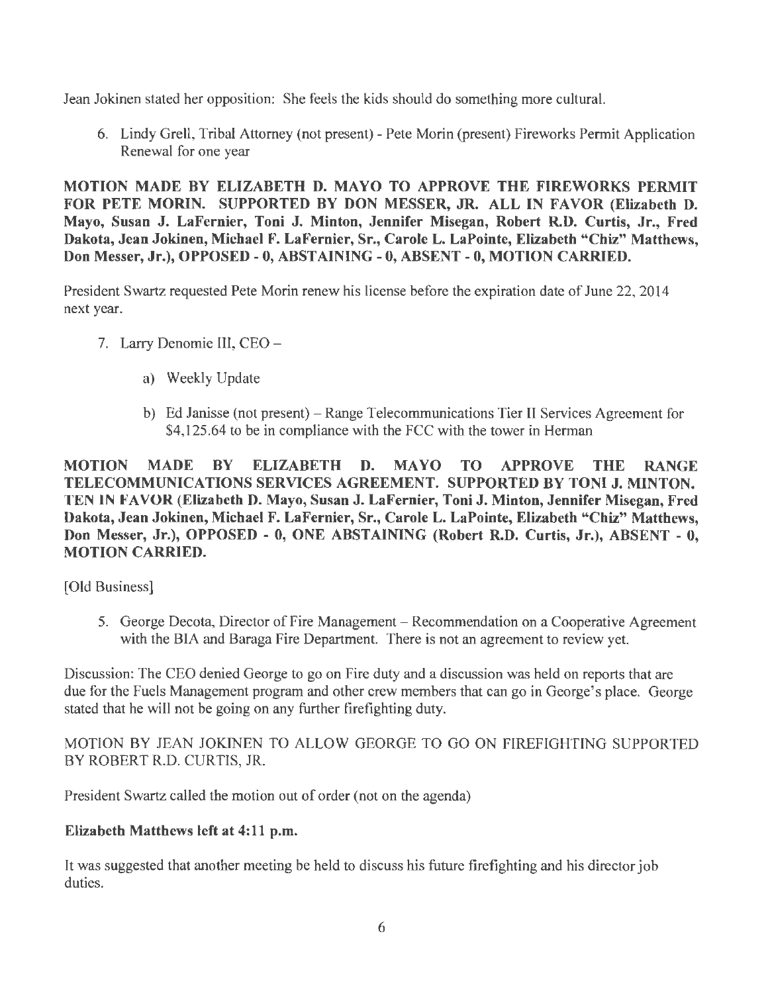Jean Jokinen stated her opposition: She feels the kids should do something more cultural.

6. Lindy Grell, Tribal Attorney (not present) - Pete Morin (present) Fireworks Permit Application Renewal for one year

MOTION MADE BY ELIZABETH D. MAYO TO APPROVE THE FIREWORKS PERMIT FOR PETE MORIN. SUPPORTED BY DON MESSER, JR. ALL IN FAVOR (Elizabeth D. Mayo, Susan J. LaFernier, Toni J. Minton, Jennifer Misegan, Robert R.D. Curtis, Jr., Fred Dakota, Jean Jokinen, Michael F. LaFernier, Sr., Carole L. LaPointe, Elizabeth "Chiz" Matthews, Don Messer, Jr.), OPPOSED-0, ABSTAINING-0, ABSENT-0, MOTION CARRIED.

President Swartz requested Pete Morin renew his License before the expiration date of June 22, 2014 next year.

- 7. Larry Denomie III, CEO
	- a) Weekly Update
	- b) Ed Janisse (not present) Range Telecommunications Tier II Services Agreement for \$4,125.64 to be in compliance with the FCC with the tower in Herman

MOTION MADE BY ELIZABETH D. MA YO TO APPROVE THE RANGE TELECOMMUNICATIONS SERVICES AGREEMENT. SUPPORTED BY TONI J. MINTON. TEN IN FAVOR (Elizabeth D. Mayo, Susan J. LaFernier, Toni J. Minton, Jennifer Misegan, Fred Dakota, Jean Jokinen, Michael F. LaFernier, Sr., Carole L. LaPointe, Elizabeth "Chiz" Matthews, Don Messer, Jr.), OPPOSED - 0, ONE ABSTAINING (Robert R.D. Curtis, Jr.), ABSENT - O, MOTION CARRIED.

[Old Business]

5. George Decota, Director of Fire Management- Recommendation on a Cooperative Agreement with the BIA and Baraga Fire Department. There is not an agreement to review yet.

Discussion: The CEO denied George to go on Fire duty and a discussion was held on reports that are due for the Fuels Management program and other crew members that can go in George's place. George stated that he will not be going on any further firefighting duty.

MOTION BY JEAN JOKINEN TO ALLOW GEORGE TO GO ON FIREFIGHTING SUPPORTED BY ROBERT R.D. CURTIS, JR.

President Swartz called the motion out of order (not on the agenda)

### Elizabeth Matthews left at 4:11 p.m.

It was suggested that another meeting be held to discuss his future firefighting and his director job duties.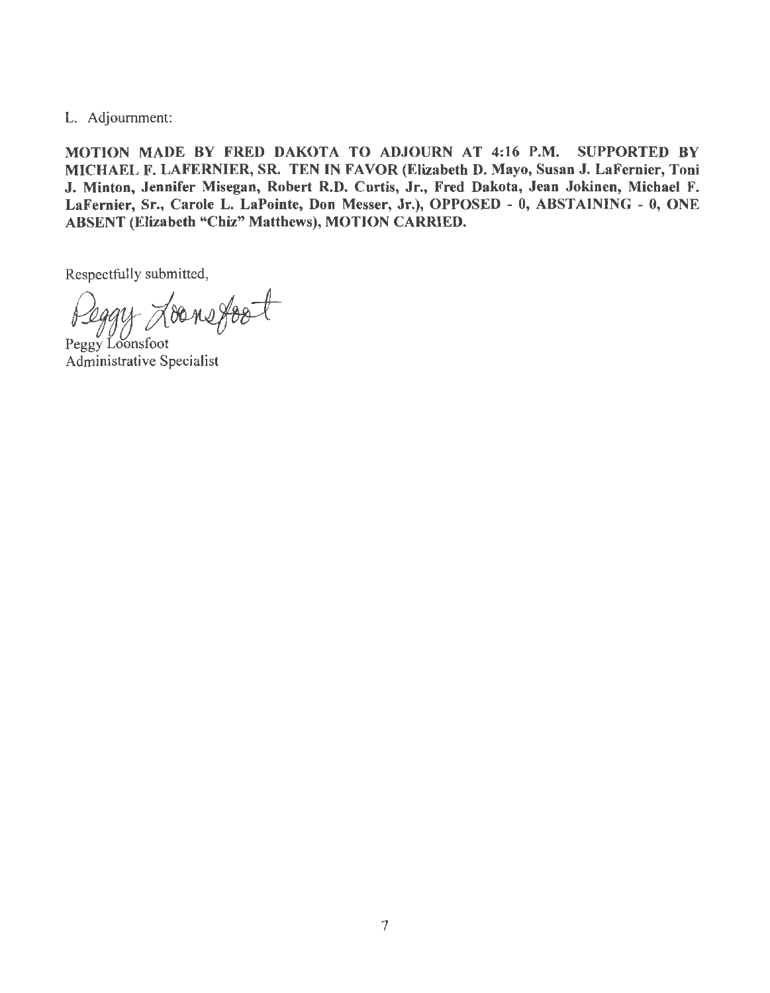L. Adjournment:

MOTION MADE BY FRED DAKOTA TO ADJOURN AT 4:16 P.M. SUPPORTED BY MICHAEL F. LAFERNIER, SR. TEN IN FAVOR (Elizabeth D. Mayo, Susan J. LaFernier, Toni J. Minton, Jennifer Misegan, Robert R.D. Curtis, Jr., Fred Dakota, Jean Jokinen, Michael F. LaFernier, Sr., Carole L. LaPointe, Don Messer, Jr.), OPPOSED - O, ABSTAINING - 0, ONE ABSENT (Elizabeth "Chiz" Matthews), MOTION CARRIED.

Respectfully submitted,

 $\gamma_{\text{0}}$ 

Peggy Loonsfoot Administrative Specialist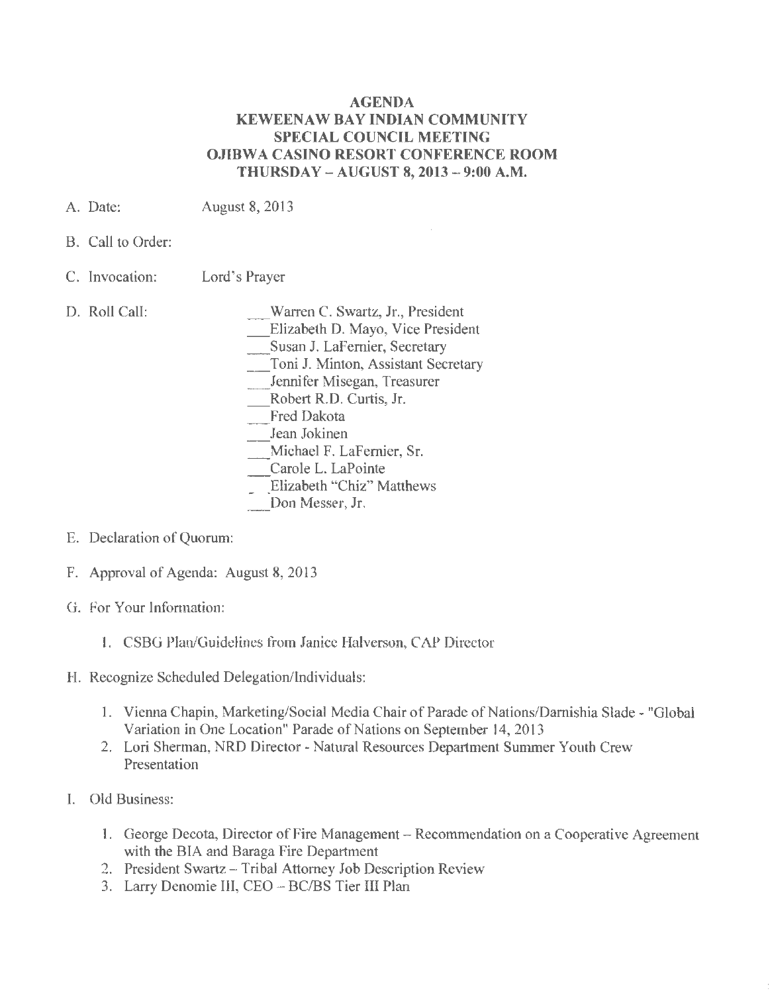#### AGENDA KEWEENAW BAY INDIAN COMMUNITY SPECIAL COUNCIL MEETING OJIBWA CASINO RESORT CONFERENCE ROOM THURSDAY - AUGUST 8, 2013 - 9:00 A.M.

- A. Date: August 8, 2013
- B. Call to Order:
- C. Invocation: Lord's Prayer
- D. Roll Call:
- \_Warren C. Swartz, Jr., President
	- \_Elizabeth D. Mayo, Vice President
	- \_Susan J. LaFernier, Secretary
	- \_Toni J. Minton, Assistant Secretary
	- \_Jennifer Misegan, Treasurer
	- \_Robert R.D. Curtis, Jr.
	- Fred Dakota
- \_Jean Jokinen
- \_Michael F. LaFernier, Sr.
- Carole L. LaPointe
- Elizabeth "Chiz" Matthews
- Don Messer, Jr.
- E. Declaration of Quorum:
- F. Approval of Agenda: August 8, 2013
- G. For Your Information:
	- I. CSBG Plan/Guidelines from Janice Halverson, CAP Director
- H. Recognize Scheduled Delegation/Individuals:
	- I. Vienna Chapin, Marketing/Social Media Chair of Parade of Nations/Damishia Slade "Global Variation in One Location" Parade of Nations on September 14, 2013
	- 2. Lori Sherman, NRD Director- Natural Resources Department Summer Youth Crew Presentation
- I. Old Business:
	- 1. George Decota, Director of Fire Management Recommendation on a Cooperative Agreement with the BIA and Baraga Fire Department
	- 2. President Swartz Tribal Attorney Job Description Review
	- 3. Larry Denomie III, CEO BC/BS Tier III Plan